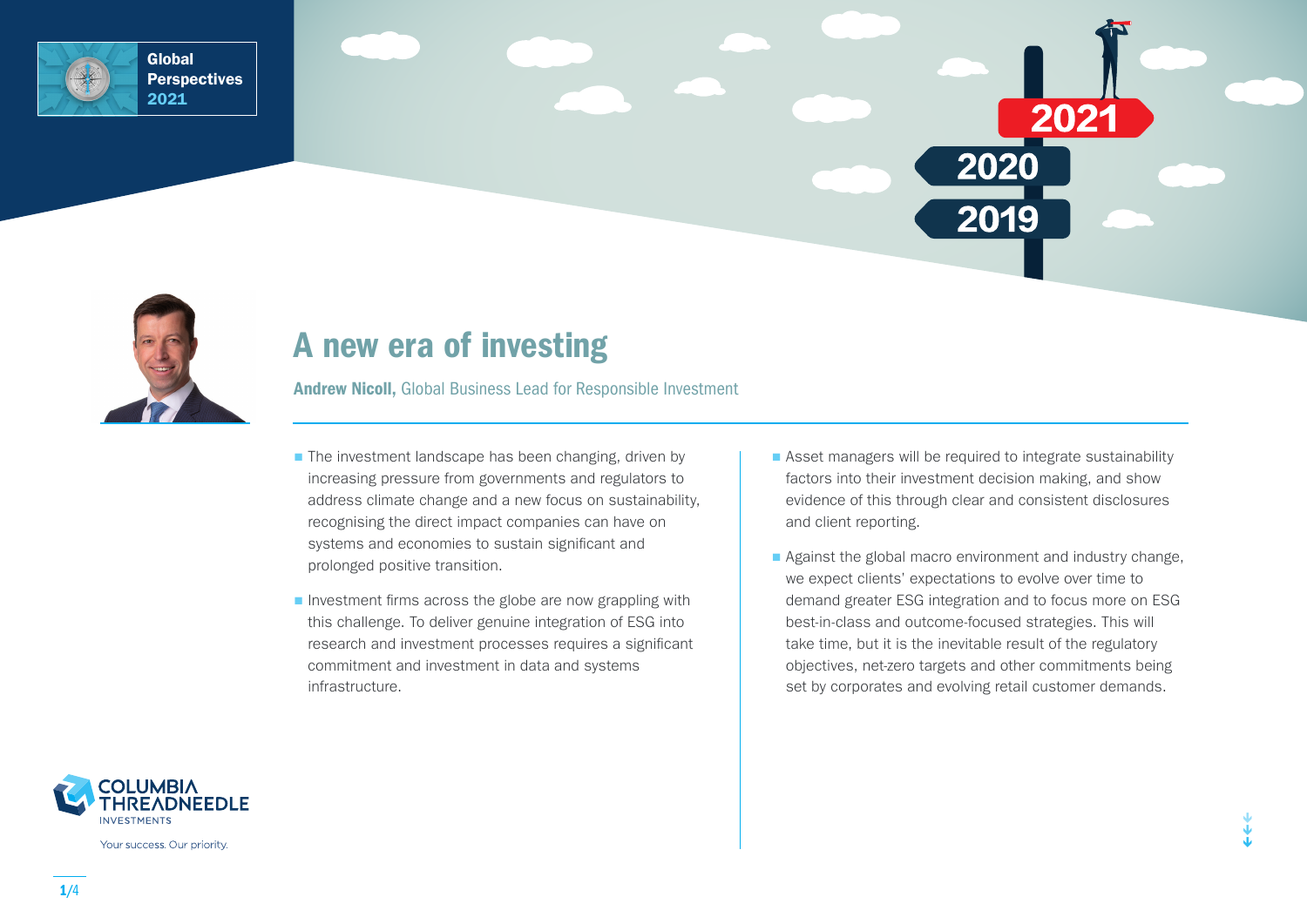



# A new era of investing

Andrew Nicoll, Global Business Lead for Responsible Investment

- $\blacksquare$  The investment landscape has been changing, driven by increasing pressure from governments and regulators to address climate change and a new focus on sustainability, recognising the direct impact companies can have on systems and economies to sustain significant and prolonged positive transition.
- $\blacksquare$  Investment firms across the globe are now grappling with this challenge. To deliver genuine integration of ESG into research and investment processes requires a significant commitment and investment in data and systems infrastructure.
- Asset managers will be required to integrate sustainability factors into their investment decision making, and show evidence of this through clear and consistent disclosures and client reporting.

2021

2020

2019

Against the global macro environment and industry change, we expect clients' expectations to evolve over time to demand greater ESG integration and to focus more on ESG best-in-class and outcome-focused strategies. This will take time, but it is the inevitable result of the regulatory objectives, net-zero targets and other commitments being set by corporates and evolving retail customer demands.



Your success. Our priority.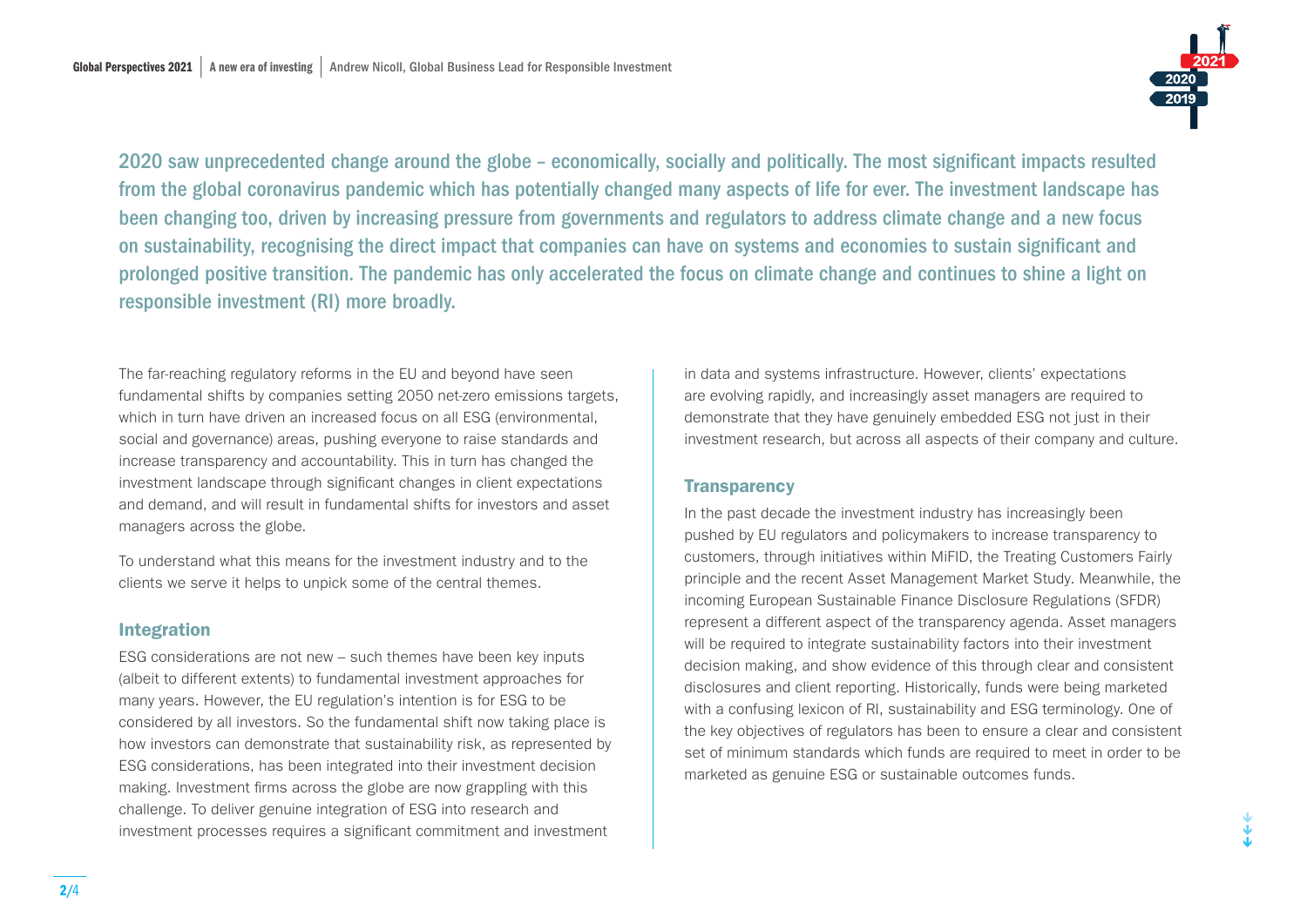

↓ ↓ ↓

2020 saw unprecedented change around the globe – economically, socially and politically. The most significant impacts resulted from the global coronavirus pandemic which has potentially changed many aspects of life for ever. The investment landscape has been changing too, driven by increasing pressure from governments and regulators to address climate change and a new focus on sustainability, recognising the direct impact that companies can have on systems and economies to sustain significant and prolonged positive transition. The pandemic has only accelerated the focus on climate change and continues to shine a light on responsible investment (RI) more broadly.

The far-reaching regulatory reforms in the EU and beyond have seen fundamental shifts by companies setting 2050 net-zero emissions targets, which in turn have driven an increased focus on all ESG (environmental, social and governance) areas, pushing everyone to raise standards and increase transparency and accountability. This in turn has changed the investment landscape through significant changes in client expectations and demand, and will result in fundamental shifts for investors and asset managers across the globe.

To understand what this means for the investment industry and to the clients we serve it helps to unpick some of the central themes.

### Integration

ESG considerations are not new – such themes have been key inputs (albeit to different extents) to fundamental investment approaches for many years. However, the EU regulation's intention is for ESG to be considered by all investors. So the fundamental shift now taking place is how investors can demonstrate that sustainability risk, as represented by ESG considerations, has been integrated into their investment decision making. Investment firms across the globe are now grappling with this challenge. To deliver genuine integration of ESG into research and investment processes requires a significant commitment and investment

in data and systems infrastructure. However, clients' expectations are evolving rapidly, and increasingly asset managers are required to demonstrate that they have genuinely embedded ESG not just in their investment research, but across all aspects of their company and culture.

### **Transparency**

In the past decade the investment industry has increasingly been pushed by EU regulators and policymakers to increase transparency to customers, through initiatives within MiFID, the Treating Customers Fairly principle and the recent Asset Management Market Study. Meanwhile, the incoming European Sustainable Finance Disclosure Regulations (SFDR) represent a different aspect of the transparency agenda. Asset managers will be required to integrate sustainability factors into their investment decision making, and show evidence of this through clear and consistent disclosures and client reporting. Historically, funds were being marketed with a confusing lexicon of RI, sustainability and ESG terminology. One of the key objectives of regulators has been to ensure a clear and consistent set of minimum standards which funds are required to meet in order to be marketed as genuine ESG or sustainable outcomes funds.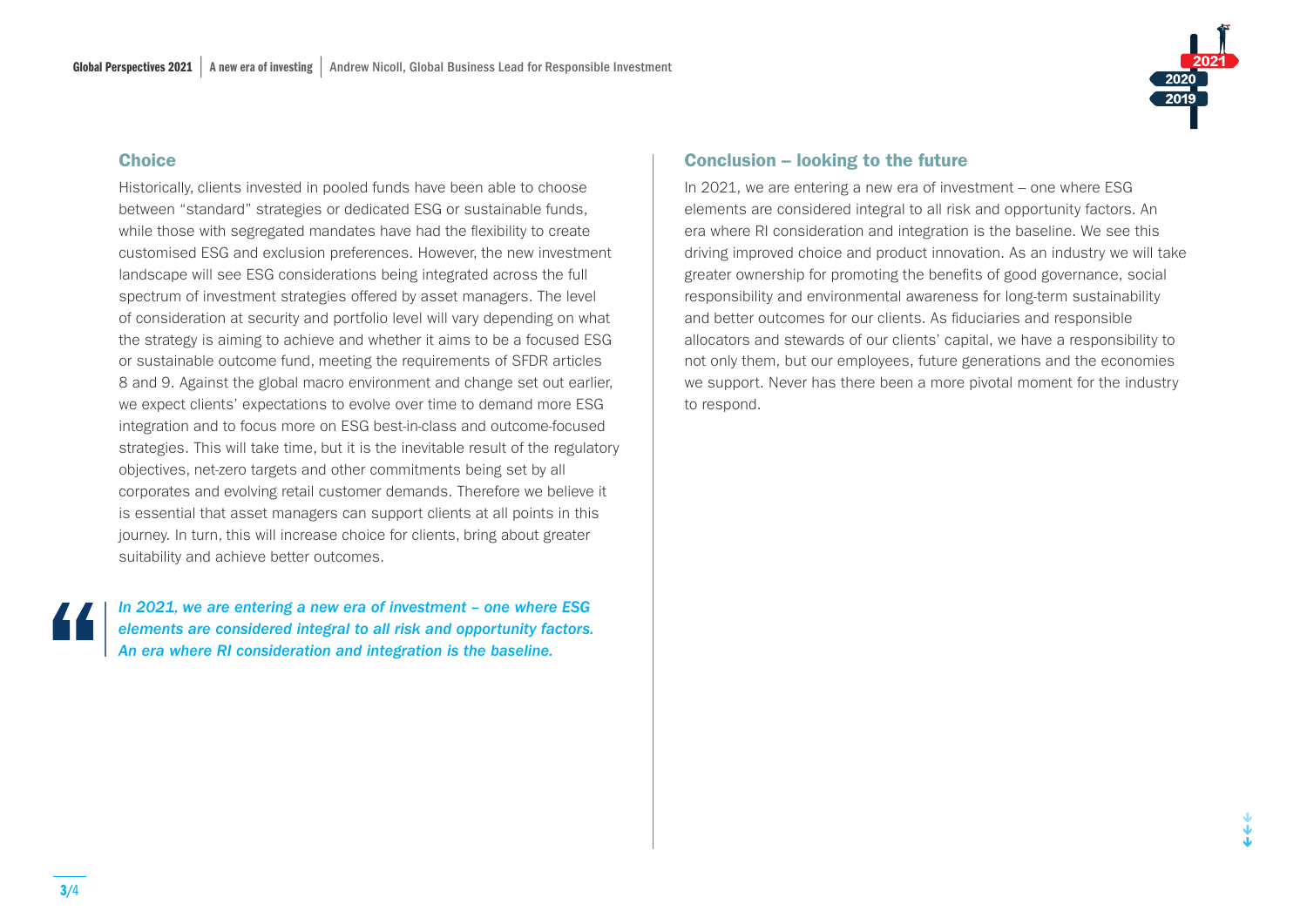#### **Choice**

Historically, clients invested in pooled funds have been able to choose between "standard" strategies or dedicated ESG or sustainable funds, while those with segregated mandates have had the flexibility to create customised ESG and exclusion preferences. However, the new investment landscape will see ESG considerations being integrated across the full spectrum of investment strategies offered by asset managers. The level of consideration at security and portfolio level will vary depending on what the strategy is aiming to achieve and whether it aims to be a focused ESG or sustainable outcome fund, meeting the requirements of SFDR articles 8 and 9. Against the global macro environment and change set out earlier, we expect clients' expectations to evolve over time to demand more ESG integration and to focus more on ESG best-in-class and outcome-focused strategies. This will take time, but it is the inevitable result of the regulatory objectives, net-zero targets and other commitments being set by all corporates and evolving retail customer demands. Therefore we believe it is essential that asset managers can support clients at all points in this journey. In turn, this will increase choice for clients, bring about greater suitability and achieve better outcomes.

*In 2021, we are entering a new era of investment – one where ESG elements are considered integral to all risk and opportunity factors. An era where RI consideration and integration is the baseline.*

#### Conclusion – looking to the future

In 2021, we are entering a new era of investment – one where ESG elements are considered integral to all risk and opportunity factors. An era where RI consideration and integration is the baseline. We see this driving improved choice and product innovation. As an industry we will take greater ownership for promoting the benefits of good governance, social responsibility and environmental awareness for long-term sustainability and better outcomes for our clients. As fiduciaries and responsible allocators and stewards of our clients' capital, we have a responsibility to not only them, but our employees, future generations and the economies we support. Never has there been a more pivotal moment for the industry to respond.